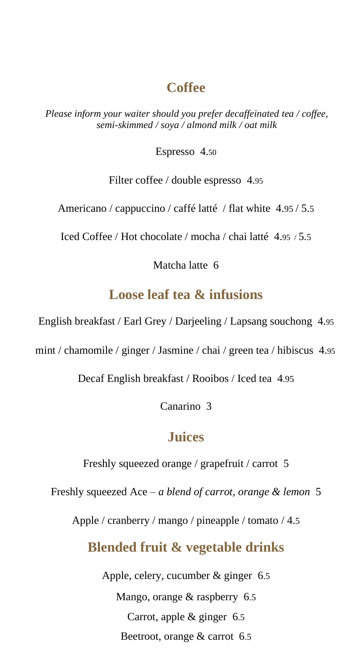### **Coffee**

*Please inform your waiter should you prefer decaffeinated tea / coffee, semi-skimmed / soya / almond milk / oat milk*

Espresso 4.50

Filter coffee / double espresso 4.95

Americano / cappuccino / caffé latté / flat white 4.95 / 5.5

Iced Coffee / Hot chocolate / mocha / chai latté 4.95 / 5.5

Matcha latte 6

# **Loose leaf tea & infusions**

English breakfast / Earl Grey / Darjeeling / Lapsang souchong 4.95

mint / chamomile / ginger / Jasmine / chai / green tea / hibiscus 4.95

Decaf English breakfast / Rooibos / Iced tea 4.95

Canarino 3

### **Juices**

Freshly squeezed orange / grapefruit / carrot 5

Freshly squeezed Ace – *a blend of carrot, orange & lemon* 5

Apple / cranberry / mango / pineapple / tomato / 4.5

#### **Blended fruit & vegetable drinks**

Apple, celery, cucumber & ginger 6.5 Mango, orange & raspberry 6.5 Carrot, apple & ginger 6.5 Beetroot, orange & carrot 6.5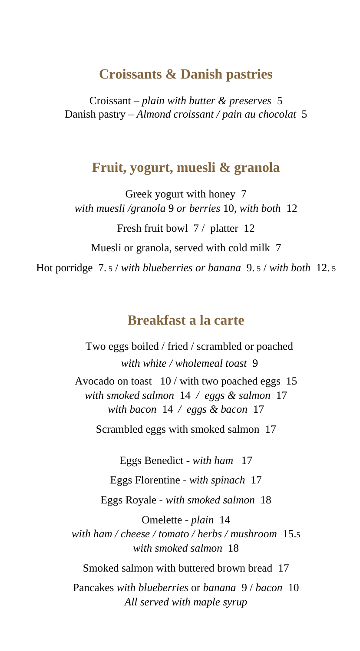#### **Croissants & Danish pastries**

Croissant – *plain with butter & preserves* 5 Danish pastry – *Almond croissant / pain au chocolat* 5

#### **Fruit, yogurt, muesli & granola**

Greek yogurt with honey 7 *with muesli /granola* 9 *or berries* 10*, with both* 12 Fresh fruit bowl 7/ platter 12 Muesli or granola, served with cold milk 7 Hot porridge 7. 5 / *with blueberries or banana* 9. 5 / *with both* 12. 5

# **Breakfast a la carte**

Two eggs boiled / fried / scrambled or poached *with white / wholemeal toast* 9 Avocado on toast 10 / with two poached eggs 15 *with smoked salmon* 14 */ eggs & salmon* 17 *with bacon* 14 */ eggs & bacon* 17

Scrambled eggs with smoked salmon 17

Eggs Benedict - *with ham* 17

Eggs Florentine - *with spinach* 17

Eggs Royale *- with smoked salmon* 18

Omelette - *plain* 14 *with ham / cheese / tomato / herbs / mushroom* 15.5 *with smoked salmon* 18

Smoked salmon with buttered brown bread 17

Pancakes *with blueberries* or *banana* 9 / *bacon* 10 *All served with maple syrup*